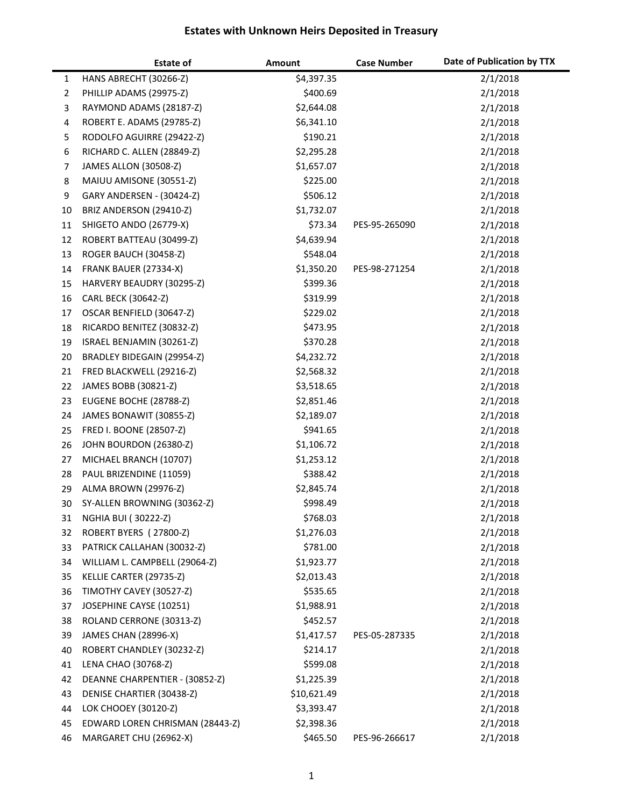|              | <b>Estate of</b>                                      | Amount                 | <b>Case Number</b> | Date of Publication by TTX |
|--------------|-------------------------------------------------------|------------------------|--------------------|----------------------------|
| $\mathbf{1}$ | HANS ABRECHT (30266-Z)                                | \$4,397.35             |                    | 2/1/2018                   |
| 2            | PHILLIP ADAMS (29975-Z)                               | \$400.69               |                    | 2/1/2018                   |
| 3            | RAYMOND ADAMS (28187-Z)                               | \$2,644.08             |                    | 2/1/2018                   |
| 4            | ROBERT E. ADAMS (29785-Z)                             | \$6,341.10             |                    | 2/1/2018                   |
| 5            | RODOLFO AGUIRRE (29422-Z)                             | \$190.21               |                    | 2/1/2018                   |
| 6            | RICHARD C. ALLEN (28849-Z)                            | \$2,295.28             |                    | 2/1/2018                   |
| 7            | JAMES ALLON (30508-Z)                                 | \$1,657.07             |                    | 2/1/2018                   |
| 8            | MAIUU AMISONE (30551-Z)                               | \$225.00               |                    | 2/1/2018                   |
| 9            | GARY ANDERSEN - (30424-Z)                             | \$506.12               |                    | 2/1/2018                   |
| 10           | BRIZ ANDERSON (29410-Z)                               | \$1,732.07             |                    | 2/1/2018                   |
| 11           | SHIGETO ANDO (26779-X)                                | \$73.34                | PES-95-265090      | 2/1/2018                   |
| 12           | ROBERT BATTEAU (30499-Z)                              | \$4,639.94             |                    | 2/1/2018                   |
| 13           | ROGER BAUCH (30458-Z)                                 | \$548.04               |                    | 2/1/2018                   |
| 14           | FRANK BAUER (27334-X)                                 | \$1,350.20             | PES-98-271254      | 2/1/2018                   |
| 15           | HARVERY BEAUDRY (30295-Z)                             | \$399.36               |                    | 2/1/2018                   |
| 16           | CARL BECK (30642-Z)                                   | \$319.99               |                    | 2/1/2018                   |
| 17           | OSCAR BENFIELD (30647-Z)                              | \$229.02               |                    | 2/1/2018                   |
| 18           | RICARDO BENITEZ (30832-Z)                             | \$473.95               |                    | 2/1/2018                   |
| 19           | ISRAEL BENJAMIN (30261-Z)                             | \$370.28               |                    | 2/1/2018                   |
| 20           | BRADLEY BIDEGAIN (29954-Z)                            | \$4,232.72             |                    | 2/1/2018                   |
| 21           | FRED BLACKWELL (29216-Z)                              | \$2,568.32             |                    | 2/1/2018                   |
| 22           | JAMES BOBB (30821-Z)                                  | \$3,518.65             |                    | 2/1/2018                   |
| 23           | EUGENE BOCHE (28788-Z)                                | \$2,851.46             |                    | 2/1/2018                   |
| 24           | JAMES BONAWIT (30855-Z)                               | \$2,189.07             |                    | 2/1/2018                   |
| 25           | FRED I. BOONE (28507-Z)                               | \$941.65               |                    | 2/1/2018                   |
| 26           | JOHN BOURDON (26380-Z)                                | \$1,106.72             |                    | 2/1/2018                   |
| 27           | MICHAEL BRANCH (10707)                                | \$1,253.12             |                    | 2/1/2018                   |
| 28           | PAUL BRIZENDINE (11059)                               | \$388.42               |                    | 2/1/2018                   |
| 29           | ALMA BROWN (29976-Z)                                  | \$2,845.74             |                    | 2/1/2018                   |
| 30           | SY-ALLEN BROWNING (30362-Z)                           | \$998.49               |                    | 2/1/2018                   |
| 31           | <b>NGHIA BUI (30222-Z)</b>                            | \$768.03               |                    | 2/1/2018                   |
| 32           | ROBERT BYERS (27800-Z)                                | \$1,276.03             |                    | 2/1/2018                   |
| 33           | PATRICK CALLAHAN (30032-Z)                            | \$781.00               |                    | 2/1/2018                   |
| 34           | WILLIAM L. CAMPBELL (29064-Z)                         | \$1,923.77             |                    | 2/1/2018                   |
| 35           | KELLIE CARTER (29735-Z)                               | \$2,013.43             |                    | 2/1/2018                   |
| 36           | TIMOTHY CAVEY (30527-Z)                               | \$535.65               |                    | 2/1/2018                   |
| 37           | JOSEPHINE CAYSE (10251)                               | \$1,988.91             |                    | 2/1/2018                   |
| 38           | ROLAND CERRONE (30313-Z)                              | \$452.57               |                    | 2/1/2018                   |
| 39<br>40     | JAMES CHAN (28996-X)<br>ROBERT CHANDLEY (30232-Z)     | \$1,417.57<br>\$214.17 | PES-05-287335      | 2/1/2018<br>2/1/2018       |
|              |                                                       |                        |                    |                            |
| 41<br>42     | LENA CHAO (30768-Z)<br>DEANNE CHARPENTIER - (30852-Z) | \$599.08<br>\$1,225.39 |                    | 2/1/2018<br>2/1/2018       |
| 43           | DENISE CHARTIER (30438-Z)                             | \$10,621.49            |                    | 2/1/2018                   |
| 44           | LOK CHOOEY (30120-Z)                                  | \$3,393.47             |                    | 2/1/2018                   |
| 45           | EDWARD LOREN CHRISMAN (28443-Z)                       | \$2,398.36             |                    | 2/1/2018                   |
| 46           | MARGARET CHU (26962-X)                                | \$465.50               | PES-96-266617      | 2/1/2018                   |
|              |                                                       |                        |                    |                            |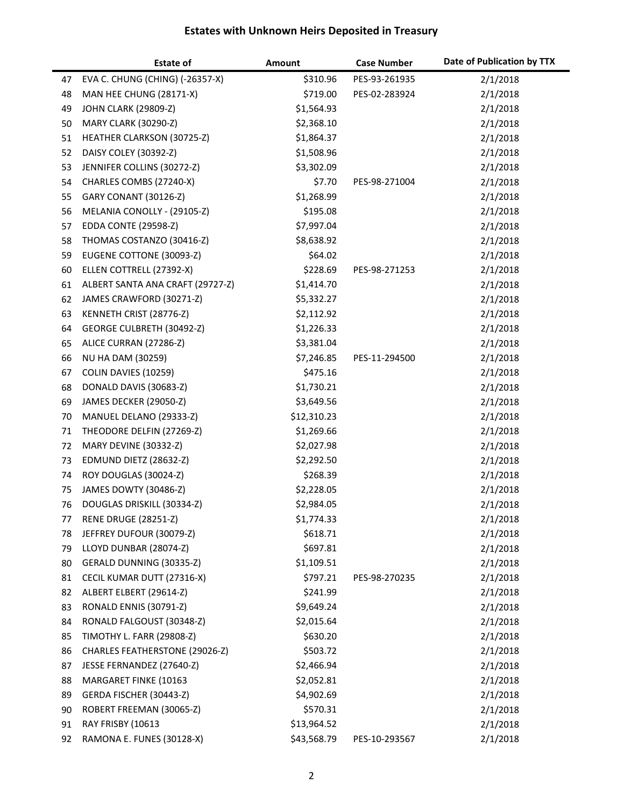|          | <b>Estate of</b>                                   | Amount                   | <b>Case Number</b> | Date of Publication by TTX |
|----------|----------------------------------------------------|--------------------------|--------------------|----------------------------|
| 47       | EVA C. CHUNG (CHING) (-26357-X)                    | \$310.96                 | PES-93-261935      | 2/1/2018                   |
| 48       | MAN HEE CHUNG (28171-X)                            | \$719.00                 | PES-02-283924      | 2/1/2018                   |
| 49       | JOHN CLARK (29809-Z)                               | \$1,564.93               |                    | 2/1/2018                   |
| 50       | <b>MARY CLARK (30290-Z)</b>                        | \$2,368.10               |                    | 2/1/2018                   |
| 51       | HEATHER CLARKSON (30725-Z)                         | \$1,864.37               |                    | 2/1/2018                   |
| 52       | DAISY COLEY (30392-Z)                              | \$1,508.96               |                    | 2/1/2018                   |
| 53       | JENNIFER COLLINS (30272-Z)                         | \$3,302.09               |                    | 2/1/2018                   |
| 54       | CHARLES COMBS (27240-X)                            | \$7.70                   | PES-98-271004      | 2/1/2018                   |
| 55       | GARY CONANT (30126-Z)                              | \$1,268.99               |                    | 2/1/2018                   |
| 56       | MELANIA CONOLLY - (29105-Z)                        | \$195.08                 |                    | 2/1/2018                   |
| 57       | <b>EDDA CONTE (29598-Z)</b>                        | \$7,997.04               |                    | 2/1/2018                   |
| 58       | THOMAS COSTANZO (30416-Z)                          | \$8,638.92               |                    | 2/1/2018                   |
| 59       | EUGENE COTTONE (30093-Z)                           | \$64.02                  |                    | 2/1/2018                   |
| 60       | ELLEN COTTRELL (27392-X)                           | \$228.69                 | PES-98-271253      | 2/1/2018                   |
| 61       | ALBERT SANTA ANA CRAFT (29727-Z)                   | \$1,414.70               |                    | 2/1/2018                   |
| 62       | JAMES CRAWFORD (30271-Z)                           | \$5,332.27               |                    | 2/1/2018                   |
| 63       | KENNETH CRIST (28776-Z)                            | \$2,112.92               |                    | 2/1/2018                   |
| 64       | GEORGE CULBRETH (30492-Z)                          | \$1,226.33               |                    | 2/1/2018                   |
| 65       | ALICE CURRAN (27286-Z)                             | \$3,381.04               |                    | 2/1/2018                   |
| 66       | <b>NU HA DAM (30259)</b>                           | \$7,246.85               | PES-11-294500      | 2/1/2018                   |
| 67       | COLIN DAVIES (10259)                               | \$475.16                 |                    | 2/1/2018                   |
| 68       | DONALD DAVIS (30683-Z)                             | \$1,730.21               |                    | 2/1/2018                   |
| 69       | JAMES DECKER (29050-Z)                             | \$3,649.56               |                    | 2/1/2018                   |
| 70       | MANUEL DELANO (29333-Z)                            | \$12,310.23              |                    | 2/1/2018                   |
| 71       | THEODORE DELFIN (27269-Z)                          | \$1,269.66               |                    | 2/1/2018                   |
| 72       | MARY DEVINE (30332-Z)                              | \$2,027.98               |                    | 2/1/2018                   |
| 73       | EDMUND DIETZ (28632-Z)                             | \$2,292.50               |                    | 2/1/2018                   |
| 74       | ROY DOUGLAS (30024-Z)                              | \$268.39                 |                    | 2/1/2018                   |
| 75       | JAMES DOWTY (30486-Z)                              | \$2,228.05               |                    | 2/1/2018                   |
| 76       | DOUGLAS DRISKILL (30334-Z)                         | \$2,984.05               |                    | 2/1/2018                   |
| 77       | <b>RENE DRUGE (28251-Z)</b>                        | \$1,774.33               |                    | 2/1/2018                   |
| 78       | JEFFREY DUFOUR (30079-Z)                           | \$618.71                 |                    | 2/1/2018                   |
| 79       | LLOYD DUNBAR (28074-Z)                             | \$697.81                 |                    | 2/1/2018                   |
| 80       | GERALD DUNNING (30335-Z)                           | \$1,109.51               |                    | 2/1/2018                   |
| 81       | CECIL KUMAR DUTT (27316-X)                         | \$797.21                 | PES-98-270235      | 2/1/2018                   |
| 82       | ALBERT ELBERT (29614-Z)                            | \$241.99                 |                    | 2/1/2018                   |
| 83       | RONALD ENNIS (30791-Z)                             | \$9,649.24               |                    | 2/1/2018                   |
| 84       | RONALD FALGOUST (30348-Z)                          | \$2,015.64               |                    | 2/1/2018                   |
| 85       | <b>TIMOTHY L. FARR (29808-Z)</b>                   | \$630.20                 |                    | 2/1/2018                   |
| 86       | CHARLES FEATHERSTONE (29026-Z)                     | \$503.72                 |                    | 2/1/2018                   |
| 87<br>88 | JESSE FERNANDEZ (27640-Z)<br>MARGARET FINKE (10163 | \$2,466.94<br>\$2,052.81 |                    | 2/1/2018                   |
| 89       | GERDA FISCHER (30443-Z)                            | \$4,902.69               |                    | 2/1/2018<br>2/1/2018       |
| 90       | ROBERT FREEMAN (30065-Z)                           | \$570.31                 |                    | 2/1/2018                   |
| 91       | RAY FRISBY (10613                                  | \$13,964.52              |                    | 2/1/2018                   |
| 92       | RAMONA E. FUNES (30128-X)                          | \$43,568.79              | PES-10-293567      | 2/1/2018                   |
|          |                                                    |                          |                    |                            |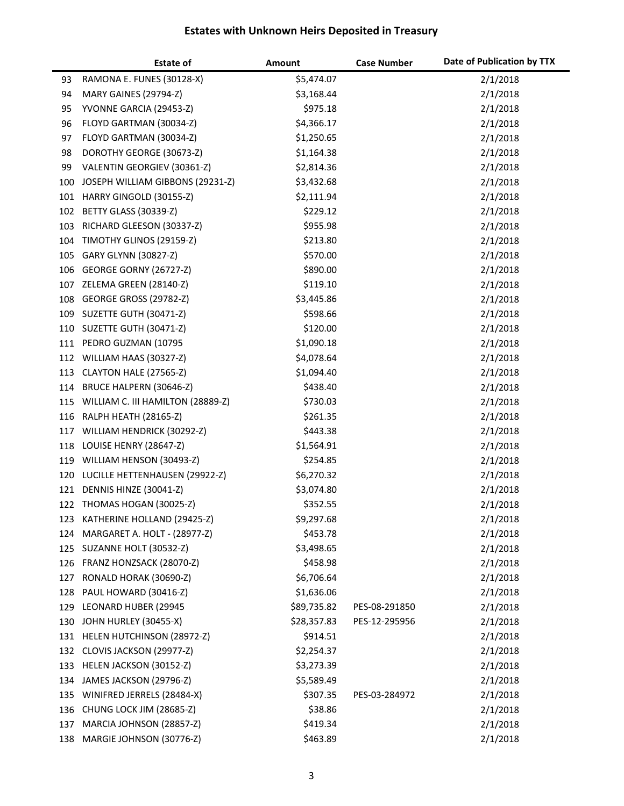|     | <b>Estate of</b>                      | Amount      | <b>Case Number</b> | Date of Publication by TTX |
|-----|---------------------------------------|-------------|--------------------|----------------------------|
| 93  | RAMONA E. FUNES (30128-X)             | \$5,474.07  |                    | 2/1/2018                   |
| 94  | MARY GAINES (29794-Z)                 | \$3,168.44  |                    | 2/1/2018                   |
| 95  | YVONNE GARCIA (29453-Z)               | \$975.18    |                    | 2/1/2018                   |
| 96  | FLOYD GARTMAN (30034-Z)               | \$4,366.17  |                    | 2/1/2018                   |
| 97  | FLOYD GARTMAN (30034-Z)               | \$1,250.65  |                    | 2/1/2018                   |
| 98  | DOROTHY GEORGE (30673-Z)              | \$1,164.38  |                    | 2/1/2018                   |
| 99  | VALENTIN GEORGIEV (30361-Z)           | \$2,814.36  |                    | 2/1/2018                   |
| 100 | JOSEPH WILLIAM GIBBONS (29231-Z)      | \$3,432.68  |                    | 2/1/2018                   |
| 101 | HARRY GINGOLD (30155-Z)               | \$2,111.94  |                    | 2/1/2018                   |
| 102 | BETTY GLASS (30339-Z)                 | \$229.12    |                    | 2/1/2018                   |
| 103 | RICHARD GLEESON (30337-Z)             | \$955.98    |                    | 2/1/2018                   |
| 104 | TIMOTHY GLINOS (29159-Z)              | \$213.80    |                    | 2/1/2018                   |
| 105 | GARY GLYNN (30827-Z)                  | \$570.00    |                    | 2/1/2018                   |
| 106 | GEORGE GORNY (26727-Z)                | \$890.00    |                    | 2/1/2018                   |
| 107 | ZELEMA GREEN (28140-Z)                | \$119.10    |                    | 2/1/2018                   |
| 108 | GEORGE GROSS (29782-Z)                | \$3,445.86  |                    | 2/1/2018                   |
| 109 | SUZETTE GUTH (30471-Z)                | \$598.66    |                    | 2/1/2018                   |
| 110 | SUZETTE GUTH (30471-Z)                | \$120.00    |                    | 2/1/2018                   |
|     | 111 PEDRO GUZMAN (10795               | \$1,090.18  |                    | 2/1/2018                   |
| 112 | WILLIAM HAAS (30327-Z)                | \$4,078.64  |                    | 2/1/2018                   |
| 113 | CLAYTON HALE (27565-Z)                | \$1,094.40  |                    | 2/1/2018                   |
| 114 | BRUCE HALPERN (30646-Z)               | \$438.40    |                    | 2/1/2018                   |
|     | 115 WILLIAM C. III HAMILTON (28889-Z) | \$730.03    |                    | 2/1/2018                   |
| 116 | <b>RALPH HEATH (28165-Z)</b>          | \$261.35    |                    | 2/1/2018                   |
| 117 | WILLIAM HENDRICK (30292-Z)            | \$443.38    |                    | 2/1/2018                   |
| 118 | LOUISE HENRY (28647-Z)                | \$1,564.91  |                    | 2/1/2018                   |
| 119 | WILLIAM HENSON (30493-Z)              | \$254.85    |                    | 2/1/2018                   |
|     | 120 LUCILLE HETTENHAUSEN (29922-Z)    | \$6,270.32  |                    | 2/1/2018                   |
| 121 | DENNIS HINZE (30041-Z)                | \$3,074.80  |                    | 2/1/2018                   |
| 122 | THOMAS HOGAN (30025-Z)                | \$352.55    |                    | 2/1/2018                   |
| 123 | KATHERINE HOLLAND (29425-Z)           | \$9,297.68  |                    | 2/1/2018                   |
| 124 | MARGARET A. HOLT - (28977-Z)          | \$453.78    |                    | 2/1/2018                   |
| 125 | SUZANNE HOLT (30532-Z)                | \$3,498.65  |                    | 2/1/2018                   |
| 126 | FRANZ HONZSACK (28070-Z)              | \$458.98    |                    | 2/1/2018                   |
| 127 | RONALD HORAK (30690-Z)                | \$6,706.64  |                    | 2/1/2018                   |
| 128 | PAUL HOWARD (30416-Z)                 | \$1,636.06  |                    | 2/1/2018                   |
| 129 | LEONARD HUBER (29945                  | \$89,735.82 | PES-08-291850      | 2/1/2018                   |
| 130 | JOHN HURLEY (30455-X)                 | \$28,357.83 | PES-12-295956      | 2/1/2018                   |
| 131 | HELEN HUTCHINSON (28972-Z)            | \$914.51    |                    | 2/1/2018                   |
| 132 | CLOVIS JACKSON (29977-Z)              | \$2,254.37  |                    | 2/1/2018                   |
| 133 | HELEN JACKSON (30152-Z)               | \$3,273.39  |                    | 2/1/2018                   |
| 134 | JAMES JACKSON (29796-Z)               | \$5,589.49  |                    | 2/1/2018                   |
| 135 | WINIFRED JERRELS (28484-X)            | \$307.35    | PES-03-284972      | 2/1/2018                   |
| 136 | CHUNG LOCK JIM (28685-Z)              | \$38.86     |                    | 2/1/2018                   |
| 137 | MARCIA JOHNSON (28857-Z)              | \$419.34    |                    | 2/1/2018                   |
| 138 | MARGIE JOHNSON (30776-Z)              | \$463.89    |                    | 2/1/2018                   |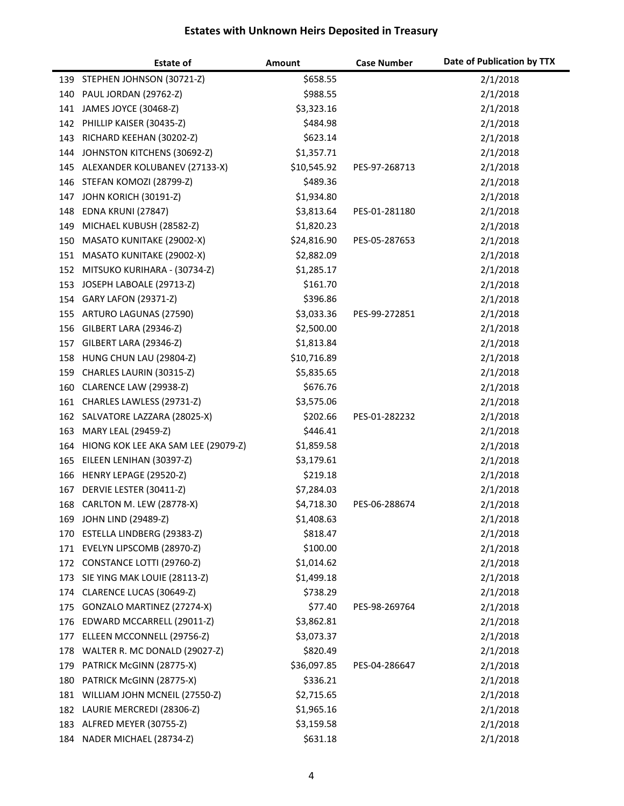|     | <b>Estate of</b>                    | Amount      | <b>Case Number</b> | Date of Publication by TTX |
|-----|-------------------------------------|-------------|--------------------|----------------------------|
|     | 139 STEPHEN JOHNSON (30721-Z)       | \$658.55    |                    | 2/1/2018                   |
| 140 | <b>PAUL JORDAN (29762-Z)</b>        | \$988.55    |                    | 2/1/2018                   |
| 141 | JAMES JOYCE (30468-Z)               | \$3,323.16  |                    | 2/1/2018                   |
| 142 | PHILLIP KAISER (30435-Z)            | \$484.98    |                    | 2/1/2018                   |
| 143 | RICHARD KEEHAN (30202-Z)            | \$623.14    |                    | 2/1/2018                   |
| 144 | JOHNSTON KITCHENS (30692-Z)         | \$1,357.71  |                    | 2/1/2018                   |
| 145 | ALEXANDER KOLUBANEV (27133-X)       | \$10,545.92 | PES-97-268713      | 2/1/2018                   |
| 146 | STEFAN KOMOZI (28799-Z)             | \$489.36    |                    | 2/1/2018                   |
| 147 | JOHN KORICH (30191-Z)               | \$1,934.80  |                    | 2/1/2018                   |
| 148 | EDNA KRUNI (27847)                  | \$3,813.64  | PES-01-281180      | 2/1/2018                   |
| 149 | MICHAEL KUBUSH (28582-Z)            | \$1,820.23  |                    | 2/1/2018                   |
| 150 | MASATO KUNITAKE (29002-X)           | \$24,816.90 | PES-05-287653      | 2/1/2018                   |
| 151 | MASATO KUNITAKE (29002-X)           | \$2,882.09  |                    | 2/1/2018                   |
| 152 | MITSUKO KURIHARA - (30734-Z)        | \$1,285.17  |                    | 2/1/2018                   |
| 153 | JOSEPH LABOALE (29713-Z)            | \$161.70    |                    | 2/1/2018                   |
| 154 | <b>GARY LAFON (29371-Z)</b>         | \$396.86    |                    | 2/1/2018                   |
| 155 | ARTURO LAGUNAS (27590)              | \$3,033.36  | PES-99-272851      | 2/1/2018                   |
| 156 | GILBERT LARA (29346-Z)              | \$2,500.00  |                    | 2/1/2018                   |
| 157 | GILBERT LARA (29346-Z)              | \$1,813.84  |                    | 2/1/2018                   |
| 158 | HUNG CHUN LAU (29804-Z)             | \$10,716.89 |                    | 2/1/2018                   |
| 159 | CHARLES LAURIN (30315-Z)            | \$5,835.65  |                    | 2/1/2018                   |
| 160 | CLARENCE LAW (29938-Z)              | \$676.76    |                    | 2/1/2018                   |
| 161 | CHARLES LAWLESS (29731-Z)           | \$3,575.06  |                    | 2/1/2018                   |
| 162 | SALVATORE LAZZARA (28025-X)         | \$202.66    | PES-01-282232      | 2/1/2018                   |
| 163 | MARY LEAL (29459-Z)                 | \$446.41    |                    | 2/1/2018                   |
| 164 | HIONG KOK LEE AKA SAM LEE (29079-Z) | \$1,859.58  |                    | 2/1/2018                   |
| 165 | EILEEN LENIHAN (30397-Z)            | \$3,179.61  |                    | 2/1/2018                   |
| 166 | HENRY LEPAGE (29520-Z)              | \$219.18    |                    | 2/1/2018                   |
| 167 | DERVIE LESTER (30411-Z)             | \$7,284.03  |                    | 2/1/2018                   |
| 168 | CARLTON M. LEW (28778-X)            | \$4,718.30  | PES-06-288674      | 2/1/2018                   |
| 169 | <b>JOHN LIND (29489-Z)</b>          | \$1,408.63  |                    | 2/1/2018                   |
| 170 | ESTELLA LINDBERG (29383-Z)          | \$818.47    |                    | 2/1/2018                   |
| 171 | EVELYN LIPSCOMB (28970-Z)           | \$100.00    |                    | 2/1/2018                   |
| 172 | CONSTANCE LOTTI (29760-Z)           | \$1,014.62  |                    | 2/1/2018                   |
| 173 | SIE YING MAK LOUIE (28113-Z)        | \$1,499.18  |                    | 2/1/2018                   |
| 174 | CLARENCE LUCAS (30649-Z)            | \$738.29    |                    | 2/1/2018                   |
| 175 | GONZALO MARTINEZ (27274-X)          | \$77.40     | PES-98-269764      | 2/1/2018                   |
| 176 | EDWARD MCCARRELL (29011-Z)          | \$3,862.81  |                    | 2/1/2018                   |
| 177 | ELLEEN MCCONNELL (29756-Z)          | \$3,073.37  |                    | 2/1/2018                   |
| 178 | WALTER R. MC DONALD (29027-Z)       | \$820.49    |                    | 2/1/2018                   |
| 179 | PATRICK McGINN (28775-X)            | \$36,097.85 | PES-04-286647      | 2/1/2018                   |
| 180 | PATRICK McGINN (28775-X)            | \$336.21    |                    | 2/1/2018                   |
| 181 | WILLIAM JOHN MCNEIL (27550-Z)       | \$2,715.65  |                    | 2/1/2018                   |
| 182 | LAURIE MERCREDI (28306-Z)           | \$1,965.16  |                    | 2/1/2018                   |
| 183 | ALFRED MEYER (30755-Z)              | \$3,159.58  |                    | 2/1/2018                   |
| 184 | NADER MICHAEL (28734-Z)             | \$631.18    |                    | 2/1/2018                   |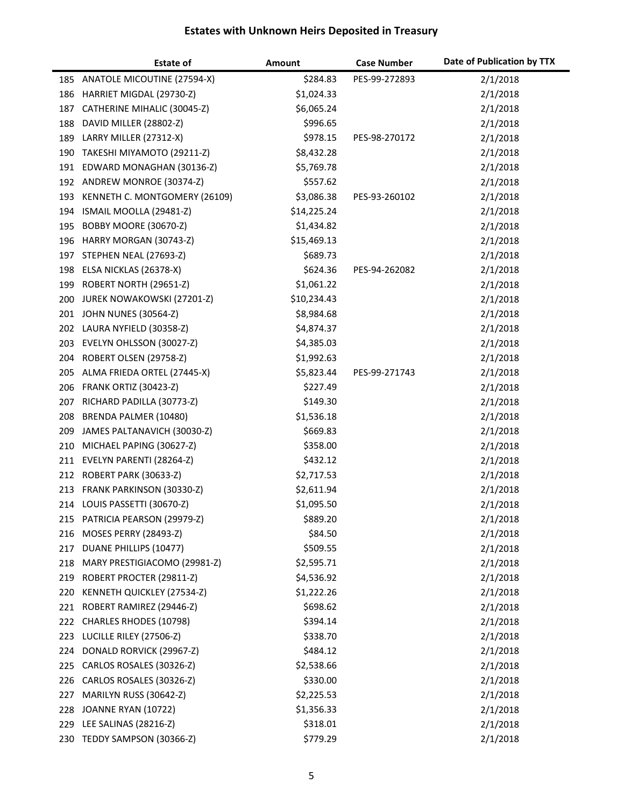|            | <b>Estate of</b>                                       | Amount                   | <b>Case Number</b> | Date of Publication by TTX |
|------------|--------------------------------------------------------|--------------------------|--------------------|----------------------------|
|            | 185 ANATOLE MICOUTINE (27594-X)                        | \$284.83                 | PES-99-272893      | 2/1/2018                   |
| 186        | HARRIET MIGDAL (29730-Z)                               | \$1,024.33               |                    | 2/1/2018                   |
| 187        | CATHERINE MIHALIC (30045-Z)                            | \$6,065.24               |                    | 2/1/2018                   |
| 188        | DAVID MILLER (28802-Z)                                 | \$996.65                 |                    | 2/1/2018                   |
| 189        | LARRY MILLER (27312-X)                                 | \$978.15                 | PES-98-270172      | 2/1/2018                   |
| 190        | TAKESHI MIYAMOTO (29211-Z)                             | \$8,432.28               |                    | 2/1/2018                   |
| 191        | EDWARD MONAGHAN (30136-Z)                              | \$5,769.78               |                    | 2/1/2018                   |
|            | 192 ANDREW MONROE (30374-Z)                            | \$557.62                 |                    | 2/1/2018                   |
| 193        | KENNETH C. MONTGOMERY (26109)                          | \$3,086.38               | PES-93-260102      | 2/1/2018                   |
| 194        | ISMAIL MOOLLA (29481-Z)                                | \$14,225.24              |                    | 2/1/2018                   |
| 195        | BOBBY MOORE (30670-Z)                                  | \$1,434.82               |                    | 2/1/2018                   |
| 196        | HARRY MORGAN (30743-Z)                                 | \$15,469.13              |                    | 2/1/2018                   |
| 197        | STEPHEN NEAL (27693-Z)                                 | \$689.73                 |                    | 2/1/2018                   |
|            | 198 ELSA NICKLAS (26378-X)                             | \$624.36                 | PES-94-262082      | 2/1/2018                   |
| 199        | ROBERT NORTH (29651-Z)                                 | \$1,061.22               |                    | 2/1/2018                   |
| 200        | JUREK NOWAKOWSKI (27201-Z)                             | \$10,234.43              |                    | 2/1/2018                   |
| 201        | <b>JOHN NUNES (30564-Z)</b>                            | \$8,984.68               |                    | 2/1/2018                   |
|            | 202 LAURA NYFIELD (30358-Z)                            | \$4,874.37               |                    | 2/1/2018                   |
| 203        | EVELYN OHLSSON (30027-Z)                               | \$4,385.03               |                    | 2/1/2018                   |
| 204        | ROBERT OLSEN (29758-Z)                                 | \$1,992.63               |                    | 2/1/2018                   |
| 205        | ALMA FRIEDA ORTEL (27445-X)                            | \$5,823.44               | PES-99-271743      | 2/1/2018                   |
| 206        | <b>FRANK ORTIZ (30423-Z)</b>                           | \$227.49                 |                    | 2/1/2018                   |
| 207        | RICHARD PADILLA (30773-Z)                              | \$149.30                 |                    | 2/1/2018                   |
| 208        | BRENDA PALMER (10480)                                  | \$1,536.18               |                    | 2/1/2018                   |
| 209        | JAMES PALTANAVICH (30030-Z)                            | \$669.83                 |                    | 2/1/2018                   |
| 210        | MICHAEL PAPING (30627-Z)                               | \$358.00                 |                    | 2/1/2018                   |
| 211        | EVELYN PARENTI (28264-Z)                               | \$432.12                 |                    | 2/1/2018                   |
|            | 212 ROBERT PARK (30633-Z)                              | \$2,717.53               |                    | 2/1/2018                   |
|            | 213 FRANK PARKINSON (30330-Z)                          | \$2,611.94               |                    | 2/1/2018                   |
|            | 214 LOUIS PASSETTI (30670-Z)                           | \$1,095.50               |                    | 2/1/2018                   |
| 215        | PATRICIA PEARSON (29979-Z)                             | \$889.20                 |                    | 2/1/2018                   |
| 216        | <b>MOSES PERRY (28493-Z)</b>                           | \$84.50                  |                    | 2/1/2018                   |
| 217        | DUANE PHILLIPS (10477)                                 | \$509.55                 |                    | 2/1/2018                   |
| 218        | MARY PRESTIGIACOMO (29981-Z)                           | \$2,595.71               |                    | 2/1/2018                   |
| 219        | ROBERT PROCTER (29811-Z)<br>KENNETH QUICKLEY (27534-Z) | \$4,536.92<br>\$1,222.26 |                    | 2/1/2018                   |
| 220        | ROBERT RAMIREZ (29446-Z)                               | \$698.62                 |                    | 2/1/2018                   |
| 221        | CHARLES RHODES (10798)                                 | \$394.14                 |                    | 2/1/2018<br>2/1/2018       |
| 222<br>223 | LUCILLE RILEY (27506-Z)                                | \$338.70                 |                    |                            |
| 224        | DONALD RORVICK (29967-Z)                               | \$484.12                 |                    | 2/1/2018<br>2/1/2018       |
| 225        | CARLOS ROSALES (30326-Z)                               | \$2,538.66               |                    | 2/1/2018                   |
| 226        | CARLOS ROSALES (30326-Z)                               | \$330.00                 |                    | 2/1/2018                   |
| 227        | MARILYN RUSS (30642-Z)                                 | \$2,225.53               |                    | 2/1/2018                   |
| 228        | JOANNE RYAN (10722)                                    | \$1,356.33               |                    | 2/1/2018                   |
| 229        | LEE SALINAS (28216-Z)                                  | \$318.01                 |                    | 2/1/2018                   |
|            | 230 TEDDY SAMPSON (30366-Z)                            | \$779.29                 |                    | 2/1/2018                   |
|            |                                                        |                          |                    |                            |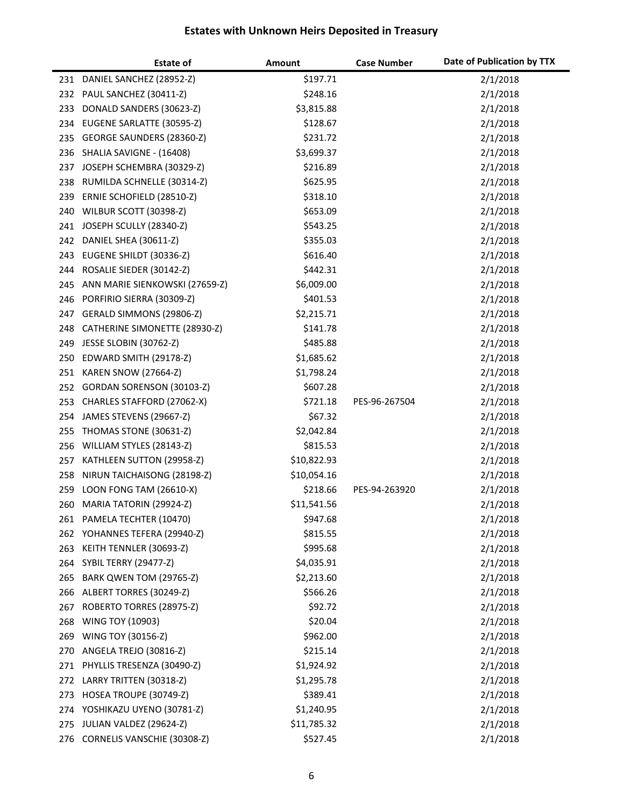|            | <b>Estate of</b>                                     | Amount               | <b>Case Number</b> | Date of Publication by TTX |
|------------|------------------------------------------------------|----------------------|--------------------|----------------------------|
|            | 231 DANIEL SANCHEZ (28952-Z)                         | \$197.71             |                    | 2/1/2018                   |
| 232        | PAUL SANCHEZ (30411-Z)                               | \$248.16             |                    | 2/1/2018                   |
| 233        | DONALD SANDERS (30623-Z)                             | \$3,815.88           |                    | 2/1/2018                   |
| 234        | EUGENE SARLATTE (30595-Z)                            | \$128.67             |                    | 2/1/2018                   |
| 235        | GEORGE SAUNDERS (28360-Z)                            | \$231.72             |                    | 2/1/2018                   |
| 236        | SHALIA SAVIGNE - (16408)                             | \$3,699.37           |                    | 2/1/2018                   |
| 237        | JOSEPH SCHEMBRA (30329-Z)                            | \$216.89             |                    | 2/1/2018                   |
| 238        | RUMILDA SCHNELLE (30314-Z)                           | \$625.95             |                    | 2/1/2018                   |
| 239        | ERNIE SCHOFIELD (28510-Z)                            | \$318.10             |                    | 2/1/2018                   |
| 240        | WILBUR SCOTT (30398-Z)                               | \$653.09             |                    | 2/1/2018                   |
|            | 241 JOSEPH SCULLY (28340-Z)                          | \$543.25             |                    | 2/1/2018                   |
| 242        | DANIEL SHEA (30611-Z)                                | \$355.03             |                    | 2/1/2018                   |
| 243        | EUGENE SHILDT (30336-Z)                              | \$616.40             |                    | 2/1/2018                   |
| 244        | ROSALIE SIEDER (30142-Z)                             | \$442.31             |                    | 2/1/2018                   |
| 245        | ANN MARIE SIENKOWSKI (27659-Z)                       | \$6,009.00           |                    | 2/1/2018                   |
| 246        | PORFIRIO SIERRA (30309-Z)                            | \$401.53             |                    | 2/1/2018                   |
| 247        | GERALD SIMMONS (29806-Z)                             | \$2,215.71           |                    | 2/1/2018                   |
| 248        | CATHERINE SIMONETTE (28930-Z)                        | \$141.78             |                    | 2/1/2018                   |
| 249        | JESSE SLOBIN (30762-Z)                               | \$485.88             |                    | 2/1/2018                   |
| 250        | EDWARD SMITH (29178-Z)                               | \$1,685.62           |                    | 2/1/2018                   |
| 251        | <b>KAREN SNOW (27664-Z)</b>                          | \$1,798.24           |                    | 2/1/2018                   |
| 252        | GORDAN SORENSON (30103-Z)                            | \$607.28             |                    | 2/1/2018                   |
| 253        | CHARLES STAFFORD (27062-X)                           | \$721.18             | PES-96-267504      | 2/1/2018                   |
| 254        | JAMES STEVENS (29667-Z)                              | \$67.32              |                    | 2/1/2018                   |
| 255        | THOMAS STONE (30631-Z)                               | \$2,042.84           |                    | 2/1/2018                   |
| 256        | WILLIAM STYLES (28143-Z)                             | \$815.53             |                    | 2/1/2018                   |
| 257        | KATHLEEN SUTTON (29958-Z)                            | \$10,822.93          |                    | 2/1/2018                   |
| 258        | NIRUN TAICHAISONG (28198-Z)                          | \$10,054.16          |                    | 2/1/2018                   |
| 259        | LOON FONG TAM (26610-X)                              | \$218.66             | PES-94-263920      | 2/1/2018                   |
| 260        | MARIA TATORIN (29924-Z)                              | \$11,541.56          |                    | 2/1/2018                   |
| 261        | PAMELA TECHTER (10470)                               | \$947.68             |                    | 2/1/2018                   |
| 262<br>263 | YOHANNES TEFERA (29940-Z)<br>KEITH TENNLER (30693-Z) | \$815.55<br>\$995.68 |                    | 2/1/2018<br>2/1/2018       |
| 264        | <b>SYBIL TERRY (29477-Z)</b>                         | \$4,035.91           |                    | 2/1/2018                   |
| 265        | BARK QWEN TOM (29765-Z)                              | \$2,213.60           |                    | 2/1/2018                   |
| 266        | ALBERT TORRES (30249-Z)                              | \$566.26             |                    | 2/1/2018                   |
| 267        | ROBERTO TORRES (28975-Z)                             | \$92.72              |                    | 2/1/2018                   |
| 268        | WING TOY (10903)                                     | \$20.04              |                    | 2/1/2018                   |
| 269        | WING TOY (30156-Z)                                   | \$962.00             |                    | 2/1/2018                   |
| 270        | ANGELA TREJO (30816-Z)                               | \$215.14             |                    | 2/1/2018                   |
| 271        | PHYLLIS TRESENZA (30490-Z)                           | \$1,924.92           |                    | 2/1/2018                   |
| 272        | LARRY TRITTEN (30318-Z)                              | \$1,295.78           |                    | 2/1/2018                   |
| 273        | HOSEA TROUPE (30749-Z)                               | \$389.41             |                    | 2/1/2018                   |
| 274        | YOSHIKAZU UYENO (30781-Z)                            | \$1,240.95           |                    | 2/1/2018                   |
| 275        | JULIAN VALDEZ (29624-Z)                              | \$11,785.32          |                    | 2/1/2018                   |
| 276        | CORNELIS VANSCHIE (30308-Z)                          | \$527.45             |                    | 2/1/2018                   |
|            |                                                      |                      |                    |                            |